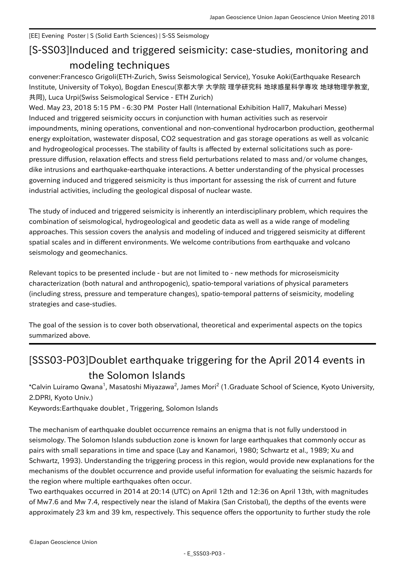## [EE] Evening Poster | S (Solid Earth Sciences) | S-SS Seismology

## [S-SS03] Induced and triggered seismicity: case-studies, monitoring and modeling techniques

convener:Francesco Grigoli(ETH-Zurich, Swiss Seismological Service), Yosuke Aoki(Earthquake Research Institute, University of Tokyo), Bogdan Enescu(京都大学 大学院 理学研究科 地球惑星科学専攻 地球物理学教室, 共同), Luca Urpi(Swiss Seismological Service - ETH Zurich)

Wed. May 23, 2018 5:15 PM - 6:30 PM Poster Hall (International Exhibition Hall7, Makuhari Messe) Induced and triggered seismicity occurs in conjunction with human activities such as reservoir impoundments, mining operations, conventional and non-conventional hydrocarbon production, geothermal energy exploitation, wastewater disposal, CO2 sequestration and gas storage operations as well as volcanic and hydrogeological processes. The stability of faults is affected by external solicitations such as porepressure diffusion, relaxation effects and stress field perturbations related to mass and/or volume changes, dike intrusions and earthquake-earthquake interactions. A better understanding of the physical processes governing induced and triggered seismicity is thus important for assessing the risk of current and future industrial activities, including the geological disposal of nuclear waste.

The study of induced and triggered seismicity is inherently an interdisciplinary problem, which requires the combination of seismological, hydrogeological and geodetic data as well as a wide range of modeling approaches. This session covers the analysis and modeling of induced and triggered seismicity at different spatial scales and in different environments. We welcome contributions from earthquake and volcano seismology and geomechanics.

Relevant topics to be presented include - but are not limited to - new methods for microseismicity characterization (both natural and anthropogenic), spatio-temporal variations of physical parameters (including stress, pressure and temperature changes), spatio-temporal patterns of seismicity, modeling strategies and case-studies.

The goal of the session is to cover both observational, theoretical and experimental aspects on the topics summarized above.

## [SSS03-P03] Doublet earthquake triggering for the April 2014 events in the Solomon Islands

\*Calvin Luiramo Qwana<sup>1</sup>, Masatoshi Miyazawa<sup>2</sup>, James Mori<sup>2</sup> (1.Graduate School of Science, Kyoto University, 2.DPRI, Kyoto Univ.)

Keywords:Earthquake doublet , Triggering, Solomon Islands

The mechanism of earthquake doublet occurrence remains an enigma that is not fully understood in seismology. The Solomon Islands subduction zone is known for large earthquakes that commonly occur as pairs with small separations in time and space (Lay and Kanamori, 1980; Schwartz et al., 1989; Xu and Schwartz, 1993). Understanding the triggering process in this region, would provide new explanations for the mechanisms of the doublet occurrence and provide useful information for evaluating the seismic hazards for the region where multiple earthquakes often occur.

Two earthquakes occurred in 2014 at 20:14 (UTC) on April 12th and 12:36 on April 13th, with magnitudes of Mw7.6 and Mw 7.4, respectively near the island of Makira (San Cristobal), the depths of the events were approximately 23 km and 39 km, respectively. This sequence offers the opportunity to further study the role